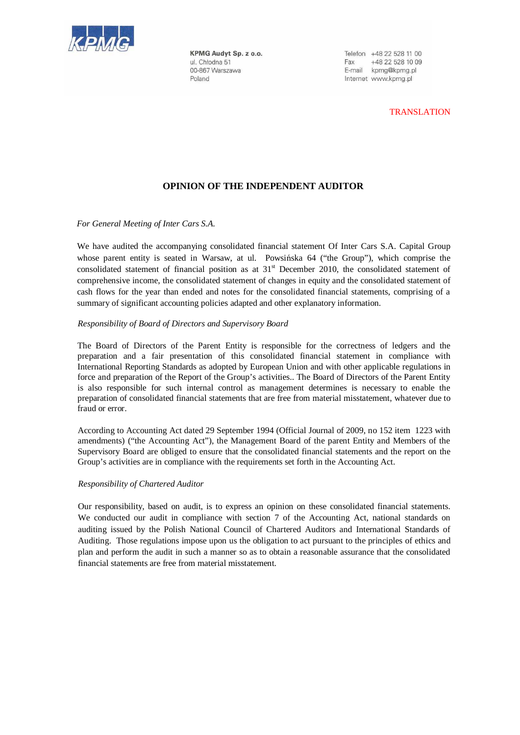

KPMG Audyt Sp. z o.o. ul. Chłodna 51 00-867 Warszawa Poland

Telefon +48 22 528 11 00 Fax +48 22 528 10 09 E-mail kpmg@kpmg.pl Internet www.kpmg.pl

## TRANSLATION

# **OPINION OF THE INDEPENDENT AUDITOR**

*For General Meeting of Inter Cars S.A.* 

We have audited the accompanying consolidated financial statement Of Inter Cars S.A. Capital Group whose parent entity is seated in Warsaw, at ul. Powsińska 64 ("the Group"), which comprise the consolidated statement of financial position as at 31<sup>st</sup> December 2010, the consolidated statement of comprehensive income, the consolidated statement of changes in equity and the consolidated statement of cash flows for the year than ended and notes for the consolidated financial statements, comprising of a summary of significant accounting policies adapted and other explanatory information.

### *Responsibility of Board of Directors and Supervisory Board*

The Board of Directors of the Parent Entity is responsible for the correctness of ledgers and the preparation and a fair presentation of this consolidated financial statement in compliance with International Reporting Standards as adopted by European Union and with other applicable regulations in force and preparation of the Report of the Group's activities.. The Board of Directors of the Parent Entity is also responsible for such internal control as management determines is necessary to enable the preparation of consolidated financial statements that are free from material misstatement, whatever due to fraud or error.

According to Accounting Act dated 29 September 1994 (Official Journal of 2009, no 152 item 1223 with amendments) ("the Accounting Act"), the Management Board of the parent Entity and Members of the Supervisory Board are obliged to ensure that the consolidated financial statements and the report on the Group's activities are in compliance with the requirements set forth in the Accounting Act.

#### *Responsibility of Chartered Auditor*

Our responsibility, based on audit, is to express an opinion on these consolidated financial statements. We conducted our audit in compliance with section 7 of the Accounting Act, national standards on auditing issued by the Polish National Council of Chartered Auditors and International Standards of Auditing. Those regulations impose upon us the obligation to act pursuant to the principles of ethics and plan and perform the audit in such a manner so as to obtain a reasonable assurance that the consolidated financial statements are free from material misstatement.